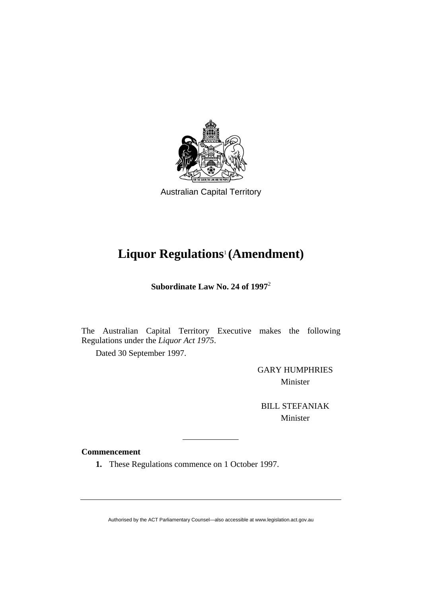

Australian Capital Territory

# **Liquor Regulations**1 **(Amendment)**

**Subordinate Law No. 24 of 1997**<sup>2</sup>

The Australian Capital Territory Executive makes the following Regulations under the *Liquor Act 1975*.

Dated 30 September 1997.

GARY HUMPHRIES Minister

BILL STEFANIAK Minister

# **Commencement**

**1.** These Regulations commence on 1 October 1997.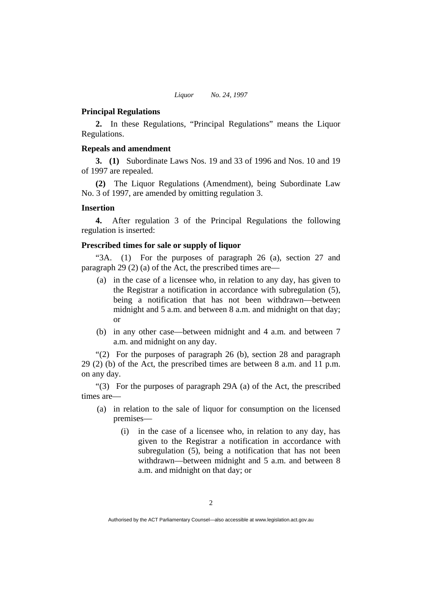## **Principal Regulations**

**2.** In these Regulations, "Principal Regulations" means the Liquor Regulations.

## **Repeals and amendment**

**3. (1)** Subordinate Laws Nos. 19 and 33 of 1996 and Nos. 10 and 19 of 1997 are repealed.

**(2)** The Liquor Regulations (Amendment), being Subordinate Law No. 3 of 1997, are amended by omitting regulation 3.

#### **Insertion**

**4.** After regulation 3 of the Principal Regulations the following regulation is inserted:

## **Prescribed times for sale or supply of liquor**

"3A. (1) For the purposes of paragraph 26 (a), section 27 and paragraph 29 (2) (a) of the Act, the prescribed times are—

- (a) in the case of a licensee who, in relation to any day, has given to the Registrar a notification in accordance with subregulation (5), being a notification that has not been withdrawn—between midnight and 5 a.m. and between 8 a.m. and midnight on that day; or
- (b) in any other case—between midnight and 4 a.m. and between 7 a.m. and midnight on any day.

"(2) For the purposes of paragraph 26 (b), section 28 and paragraph 29 (2) (b) of the Act, the prescribed times are between 8 a.m. and 11 p.m. on any day.

"(3) For the purposes of paragraph 29A (a) of the Act, the prescribed times are—

- (a) in relation to the sale of liquor for consumption on the licensed premises—
	- (i) in the case of a licensee who, in relation to any day, has given to the Registrar a notification in accordance with subregulation (5), being a notification that has not been withdrawn—between midnight and 5 a.m. and between 8 a.m. and midnight on that day; or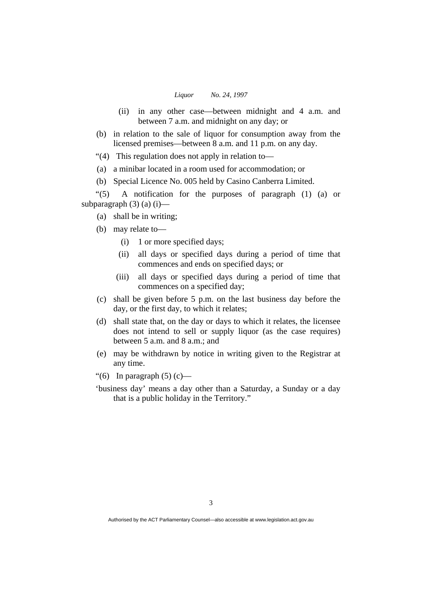#### *Liquor No. 24, 1997*

- (ii) in any other case—between midnight and 4 a.m. and between 7 a.m. and midnight on any day; or
- (b) in relation to the sale of liquor for consumption away from the licensed premises—between 8 a.m. and 11 p.m. on any day.
- "(4) This regulation does not apply in relation to—
- (a) a minibar located in a room used for accommodation; or
- (b) Special Licence No. 005 held by Casino Canberra Limited.

"(5) A notification for the purposes of paragraph (1) (a) or subparagraph  $(3)$   $(a)$   $(i)$ —

- (a) shall be in writing;
- (b) may relate to—
	- (i) 1 or more specified days;
	- (ii) all days or specified days during a period of time that commences and ends on specified days; or
	- (iii) all days or specified days during a period of time that commences on a specified day;
- (c) shall be given before 5 p.m. on the last business day before the day, or the first day, to which it relates;
- (d) shall state that, on the day or days to which it relates, the licensee does not intend to sell or supply liquor (as the case requires) between 5 a.m. and 8 a.m.; and
- (e) may be withdrawn by notice in writing given to the Registrar at any time.
- "(6) In paragraph  $(5)$  (c) —
- 'business day' means a day other than a Saturday, a Sunday or a day that is a public holiday in the Territory."